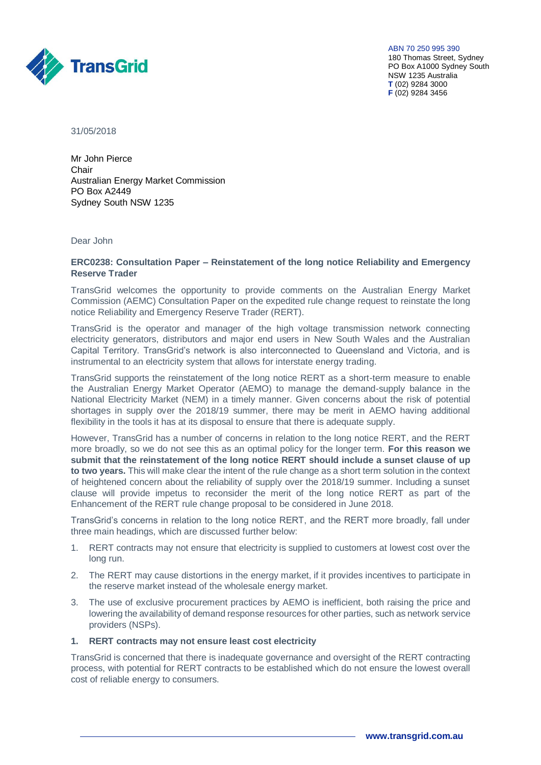

ABN 70 250 995 390 180 Thomas Street, Sydney PO Box A1000 Sydney South NSW 1235 Australia **T** (02) 9284 3000 **F** (02) 9284 3456

31/05/2018

Mr John Pierce Chair Australian Energy Market Commission PO Box A2449 Sydney South NSW 1235

Dear John

## **ERC0238: Consultation Paper – Reinstatement of the long notice Reliability and Emergency Reserve Trader**

TransGrid welcomes the opportunity to provide comments on the Australian Energy Market Commission (AEMC) Consultation Paper on the expedited rule change request to reinstate the long notice Reliability and Emergency Reserve Trader (RERT).

TransGrid is the operator and manager of the high voltage transmission network connecting electricity generators, distributors and major end users in New South Wales and the Australian Capital Territory. TransGrid's network is also interconnected to Queensland and Victoria, and is instrumental to an electricity system that allows for interstate energy trading.

TransGrid supports the reinstatement of the long notice RERT as a short-term measure to enable the Australian Energy Market Operator (AEMO) to manage the demand-supply balance in the National Electricity Market (NEM) in a timely manner. Given concerns about the risk of potential shortages in supply over the 2018/19 summer, there may be merit in AEMO having additional flexibility in the tools it has at its disposal to ensure that there is adequate supply.

However, TransGrid has a number of concerns in relation to the long notice RERT, and the RERT more broadly, so we do not see this as an optimal policy for the longer term. **For this reason we submit that the reinstatement of the long notice RERT should include a sunset clause of up to two years.** This will make clear the intent of the rule change as a short term solution in the context of heightened concern about the reliability of supply over the 2018/19 summer. Including a sunset clause will provide impetus to reconsider the merit of the long notice RERT as part of the Enhancement of the RERT rule change proposal to be considered in June 2018.

TransGrid's concerns in relation to the long notice RERT, and the RERT more broadly, fall under three main headings, which are discussed further below:

- 1. RERT contracts may not ensure that electricity is supplied to customers at lowest cost over the long run.
- 2. The RERT may cause distortions in the energy market, if it provides incentives to participate in the reserve market instead of the wholesale energy market.
- 3. The use of exclusive procurement practices by AEMO is inefficient, both raising the price and lowering the availability of demand response resources for other parties, such as network service providers (NSPs).

# **1. RERT contracts may not ensure least cost electricity**

TransGrid is concerned that there is inadequate governance and oversight of the RERT contracting process, with potential for RERT contracts to be established which do not ensure the lowest overall cost of reliable energy to consumers.